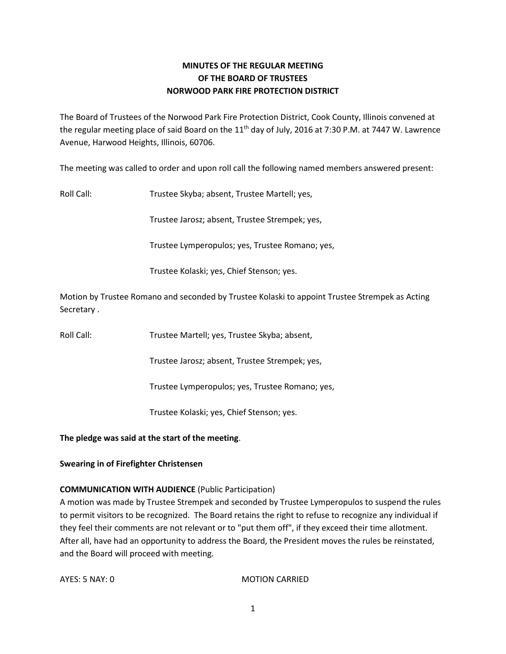# **MINUTES OF THE REGULAR MEETING OF THE BOARD OF TRUSTEES NORWOOD PARK FIRE PROTECTION DISTRICT**

The Board of Trustees of the Norwood Park Fire Protection District, Cook County, Illinois convened at the regular meeting place of said Board on the 11<sup>th</sup> day of July, 2016 at 7:30 P.M. at 7447 W. Lawrence Avenue, Harwood Heights, Illinois, 60706.

The meeting was called to order and upon roll call the following named members answered present:

Roll Call: Trustee Skyba; absent, Trustee Martell; yes,

Trustee Jarosz; absent, Trustee Strempek; yes,

Trustee Lymperopulos; yes, Trustee Romano; yes,

Trustee Kolaski; yes, Chief Stenson; yes.

Motion by Trustee Romano and seconded by Trustee Kolaski to appoint Trustee Strempek as Acting Secretary .

Roll Call: Trustee Martell; yes, Trustee Skyba; absent,

Trustee Jarosz; absent, Trustee Strempek; yes,

Trustee Lymperopulos; yes, Trustee Romano; yes,

Trustee Kolaski; yes, Chief Stenson; yes.

**The pledge was said at the start of the meeting**.

# **Swearing in of Firefighter Christensen**

# **COMMUNICATION WITH AUDIENCE** (Public Participation)

A motion was made by Trustee Strempek and seconded by Trustee Lymperopulos to suspend the rules to permit visitors to be recognized. The Board retains the right to refuse to recognize any individual if they feel their comments are not relevant or to "put them off", if they exceed their time allotment. After all, have had an opportunity to address the Board, the President moves the rules be reinstated, and the Board will proceed with meeting.

AYES: 5 NAY: 0 MOTION CARRIED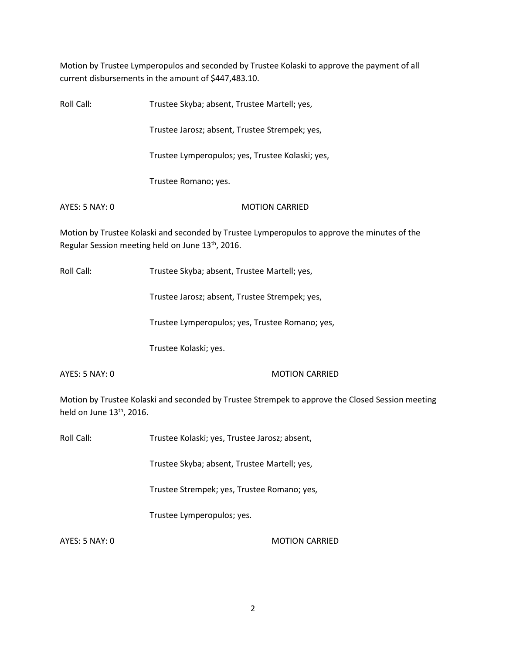Motion by Trustee Lymperopulos and seconded by Trustee Kolaski to approve the payment of all current disbursements in the amount of \$447,483.10.

| Roll Call:     | Trustee Skyba; absent, Trustee Martell; yes,                                                 |
|----------------|----------------------------------------------------------------------------------------------|
|                | Trustee Jarosz; absent, Trustee Strempek; yes,                                               |
|                | Trustee Lymperopulos; yes, Trustee Kolaski; yes,                                             |
|                | Trustee Romano; yes.                                                                         |
| AYES: 5 NAY: 0 | <b>MOTION CARRIED</b>                                                                        |
|                | Motion by Trustee Kolaski and seconded by Trustee Lymperopulos to approve the minutes of the |
|                | Regular Session meeting held on June 13 <sup>th</sup> , 2016.                                |

Roll Call: Trustee Skyba; absent, Trustee Martell; yes,

Trustee Jarosz; absent, Trustee Strempek; yes,

Trustee Lymperopulos; yes, Trustee Romano; yes,

Trustee Kolaski; yes.

AYES: 5 NAY: 0 MOTION CARRIED

Motion by Trustee Kolaski and seconded by Trustee Strempek to approve the Closed Session meeting held on June 13<sup>th</sup>, 2016.

Roll Call: Trustee Kolaski; yes, Trustee Jarosz; absent,

Trustee Skyba; absent, Trustee Martell; yes,

Trustee Strempek; yes, Trustee Romano; yes,

Trustee Lymperopulos; yes.

AYES: 5 NAY: 0 MOTION CARRIED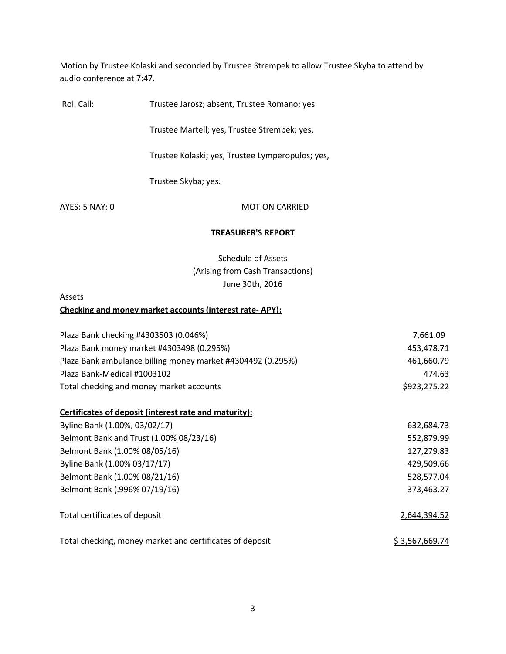Motion by Trustee Kolaski and seconded by Trustee Strempek to allow Trustee Skyba to attend by audio conference at 7:47.

Roll Call: Trustee Jarosz; absent, Trustee Romano; yes

Trustee Martell; yes, Trustee Strempek; yes,

Trustee Kolaski; yes, Trustee Lymperopulos; yes,

Trustee Skyba; yes.

AYES: 5 NAY: 0 MOTION CARRIED

### **TREASURER'S REPORT**

Schedule of Assets (Arising from Cash Transactions) June 30th, 2016

Assets

### **Checking and money market accounts (interest rate- APY):**

| Plaza Bank checking #4303503 (0.046%)                       | 7,661.09       |
|-------------------------------------------------------------|----------------|
| Plaza Bank money market #4303498 (0.295%)                   | 453,478.71     |
| Plaza Bank ambulance billing money market #4304492 (0.295%) | 461,660.79     |
| Plaza Bank-Medical #1003102                                 | 474.63         |
| Total checking and money market accounts                    | \$923,275.22   |
|                                                             |                |
| Certificates of deposit (interest rate and maturity):       |                |
| Byline Bank (1.00%, 03/02/17)                               | 632,684.73     |
| Belmont Bank and Trust (1.00% 08/23/16)                     | 552,879.99     |
| Belmont Bank (1.00% 08/05/16)                               | 127,279.83     |
| Byline Bank (1.00% 03/17/17)                                | 429,509.66     |
| Belmont Bank (1.00% 08/21/16)                               | 528,577.04     |
| Belmont Bank (.996% 07/19/16)                               | 373,463.27     |
|                                                             |                |
| Total certificates of deposit                               | 2,644,394.52   |
|                                                             |                |
| Total checking, money market and certificates of deposit    | \$3,567,669.74 |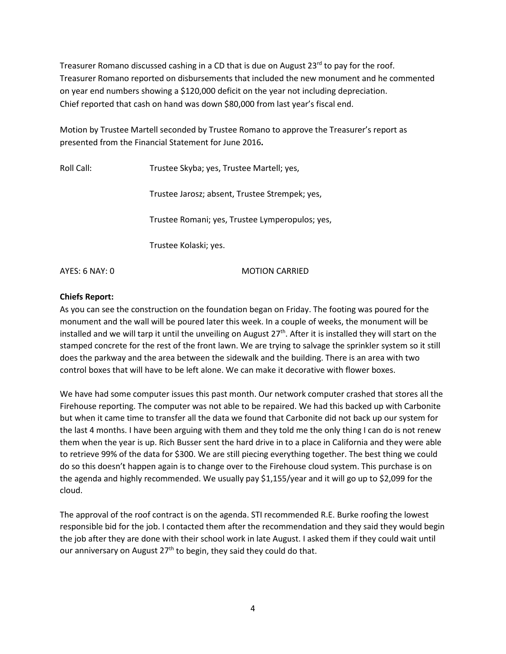Treasurer Romano discussed cashing in a CD that is due on August 23<sup>rd</sup> to pay for the roof. Treasurer Romano reported on disbursements that included the new monument and he commented on year end numbers showing a \$120,000 deficit on the year not including depreciation. Chief reported that cash on hand was down \$80,000 from last year's fiscal end.

Motion by Trustee Martell seconded by Trustee Romano to approve the Treasurer's report as presented from the Financial Statement for June 2016**.** 

| Roll Call:     | Trustee Skyba; yes, Trustee Martell; yes,       |
|----------------|-------------------------------------------------|
|                | Trustee Jarosz; absent, Trustee Strempek; yes,  |
|                | Trustee Romani; yes, Trustee Lymperopulos; yes, |
|                | Trustee Kolaski; yes.                           |
| AYFS: 6 NAY: 0 | MOTION CARRIED                                  |

# **Chiefs Report:**

As you can see the construction on the foundation began on Friday. The footing was poured for the monument and the wall will be poured later this week. In a couple of weeks, the monument will be installed and we will tarp it until the unveiling on August  $27<sup>th</sup>$ . After it is installed they will start on the stamped concrete for the rest of the front lawn. We are trying to salvage the sprinkler system so it still does the parkway and the area between the sidewalk and the building. There is an area with two control boxes that will have to be left alone. We can make it decorative with flower boxes.

We have had some computer issues this past month. Our network computer crashed that stores all the Firehouse reporting. The computer was not able to be repaired. We had this backed up with Carbonite but when it came time to transfer all the data we found that Carbonite did not back up our system for the last 4 months. I have been arguing with them and they told me the only thing I can do is not renew them when the year is up. Rich Busser sent the hard drive in to a place in California and they were able to retrieve 99% of the data for \$300. We are still piecing everything together. The best thing we could do so this doesn't happen again is to change over to the Firehouse cloud system. This purchase is on the agenda and highly recommended. We usually pay \$1,155/year and it will go up to \$2,099 for the cloud.

The approval of the roof contract is on the agenda. STI recommended R.E. Burke roofing the lowest responsible bid for the job. I contacted them after the recommendation and they said they would begin the job after they are done with their school work in late August. I asked them if they could wait until our anniversary on August  $27<sup>th</sup>$  to begin, they said they could do that.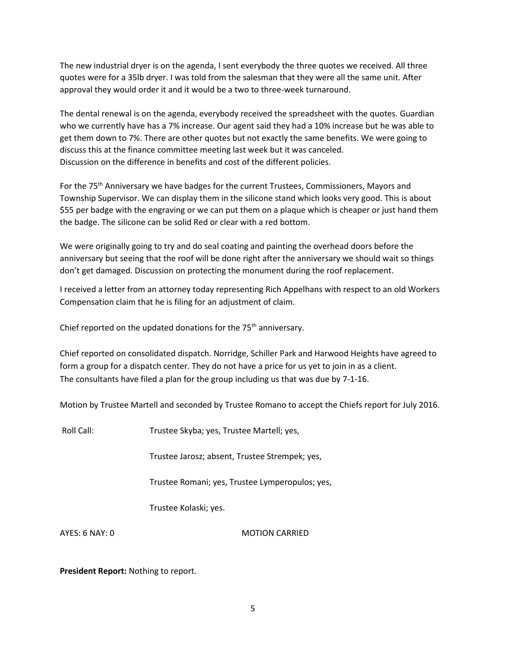The new industrial dryer is on the agenda, I sent everybody the three quotes we received. All three quotes were for a 35lb dryer. I was told from the salesman that they were all the same unit. After approval they would order it and it would be a two to three-week turnaround.

The dental renewal is on the agenda, everybody received the spreadsheet with the quotes. Guardian who we currently have has a 7% increase. Our agent said they had a 10% increase but he was able to get them down to 7%. There are other quotes but not exactly the same benefits. We were going to discuss this at the finance committee meeting last week but it was canceled. Discussion on the difference in benefits and cost of the different policies.

For the 75<sup>th</sup> Anniversary we have badges for the current Trustees, Commissioners, Mayors and Township Supervisor. We can display them in the silicone stand which looks very good. This is about \$55 per badge with the engraving or we can put them on a plaque which is cheaper or just hand them the badge. The silicone can be solid Red or clear with a red bottom.

We were originally going to try and do seal coating and painting the overhead doors before the anniversary but seeing that the roof will be done right after the anniversary we should wait so things don't get damaged. Discussion on protecting the monument during the roof replacement.

I received a letter from an attorney today representing Rich Appelhans with respect to an old Workers Compensation claim that he is filing for an adjustment of claim.

Chief reported on the updated donations for the  $75<sup>th</sup>$  anniversary.

Chief reported on consolidated dispatch. Norridge, Schiller Park and Harwood Heights have agreed to form a group for a dispatch center. They do not have a price for us yet to join in as a client. The consultants have filed a plan for the group including us that was due by 7-1-16.

Motion by Trustee Martell and seconded by Trustee Romano to accept the Chiefs report for July 2016.

Roll Call: Trustee Skyba; yes, Trustee Martell; yes,

Trustee Jarosz; absent, Trustee Strempek; yes,

Trustee Romani; yes, Trustee Lymperopulos; yes,

Trustee Kolaski; yes.

AYES: 6 NAY: 0 MOTION CARRIED

**President Report:** Nothing to report.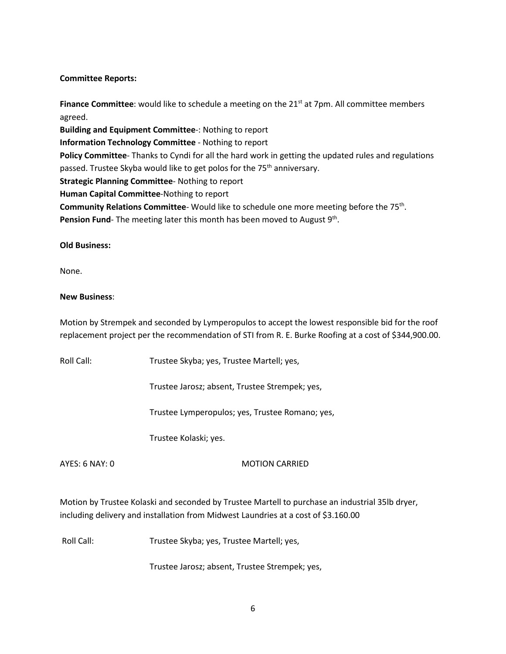## **Committee Reports:**

**Finance Committee**: would like to schedule a meeting on the 21<sup>st</sup> at 7pm. All committee members agreed. **Building and Equipment Committee**-: Nothing to report **Information Technology Committee** - Nothing to report **Policy Committee**- Thanks to Cyndi for all the hard work in getting the updated rules and regulations passed. Trustee Skyba would like to get polos for the 75<sup>th</sup> anniversary. **Strategic Planning Committee**- Nothing to report **Human Capital Committee**-Nothing to report Community Relations Committee- Would like to schedule one more meeting before the 75<sup>th</sup>. Pension Fund- The meeting later this month has been moved to August 9<sup>th</sup>.

### **Old Business:**

None.

### **New Business**:

Motion by Strempek and seconded by Lymperopulos to accept the lowest responsible bid for the roof replacement project per the recommendation of STI from R. E. Burke Roofing at a cost of \$344,900.00.

Roll Call: Trustee Skyba; yes, Trustee Martell; yes,

Trustee Jarosz; absent, Trustee Strempek; yes,

Trustee Lymperopulos; yes, Trustee Romano; yes,

Trustee Kolaski; yes.

### AYES: 6 NAY: 0 MOTION CARRIED

Motion by Trustee Kolaski and seconded by Trustee Martell to purchase an industrial 35lb dryer, including delivery and installation from Midwest Laundries at a cost of \$3.160.00

Roll Call: Trustee Skyba; yes, Trustee Martell; yes,

Trustee Jarosz; absent, Trustee Strempek; yes,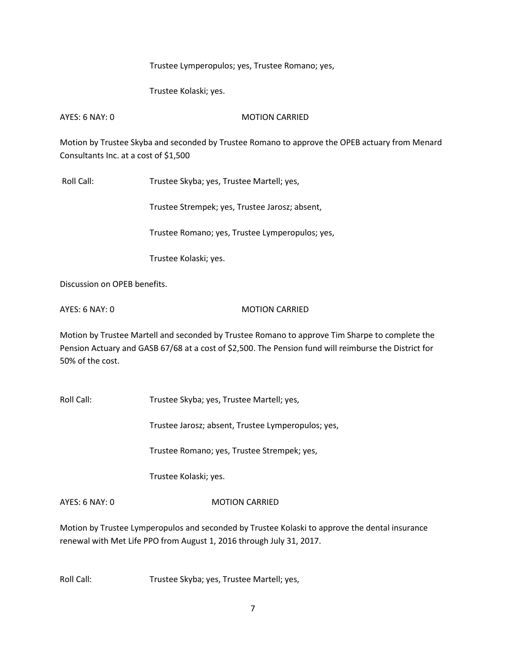Trustee Lymperopulos; yes, Trustee Romano; yes,

Trustee Kolaski; yes.

AYES: 6 NAY: 0 MOTION CARRIED

Motion by Trustee Skyba and seconded by Trustee Romano to approve the OPEB actuary from Menard Consultants Inc. at a cost of \$1,500

Roll Call: Trustee Skyba; yes, Trustee Martell; yes,

Trustee Strempek; yes, Trustee Jarosz; absent,

Trustee Romano; yes, Trustee Lymperopulos; yes,

Trustee Kolaski; yes.

Discussion on OPEB benefits.

AYES: 6 NAY: 0 MOTION CARRIED

Motion by Trustee Martell and seconded by Trustee Romano to approve Tim Sharpe to complete the Pension Actuary and GASB 67/68 at a cost of \$2,500. The Pension fund will reimburse the District for 50% of the cost.

Roll Call: Trustee Skyba; yes, Trustee Martell; yes,

Trustee Jarosz; absent, Trustee Lymperopulos; yes,

Trustee Romano; yes, Trustee Strempek; yes,

Trustee Kolaski; yes.

AYES: 6 NAY: 0 MOTION CARRIED

Motion by Trustee Lymperopulos and seconded by Trustee Kolaski to approve the dental insurance renewal with Met Life PPO from August 1, 2016 through July 31, 2017.

Roll Call: Trustee Skyba; yes, Trustee Martell; yes,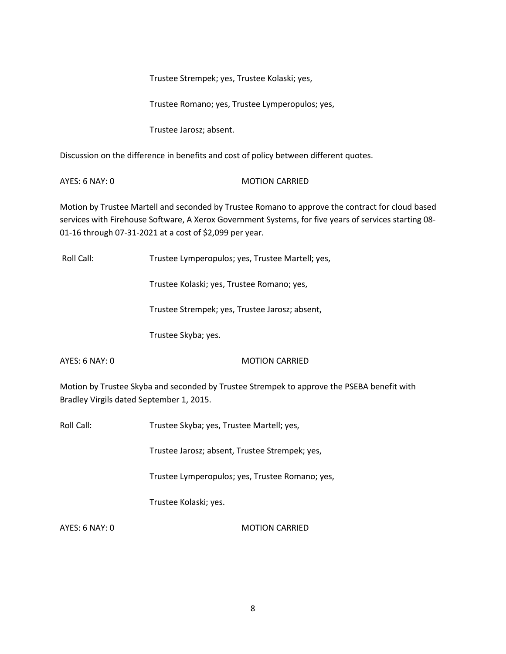Trustee Strempek; yes, Trustee Kolaski; yes,

Trustee Romano; yes, Trustee Lymperopulos; yes,

Trustee Jarosz; absent.

Discussion on the difference in benefits and cost of policy between different quotes.

AYES: 6 NAY: 0 MOTION CARRIED

Motion by Trustee Martell and seconded by Trustee Romano to approve the contract for cloud based services with Firehouse Software, A Xerox Government Systems, for five years of services starting 08- 01-16 through 07-31-2021 at a cost of \$2,099 per year.

Roll Call: Trustee Lymperopulos; yes, Trustee Martell; yes,

Trustee Kolaski; yes, Trustee Romano; yes,

Trustee Strempek; yes, Trustee Jarosz; absent,

Trustee Skyba; yes.

AYES: 6 NAY: 0 MOTION CARRIED

Motion by Trustee Skyba and seconded by Trustee Strempek to approve the PSEBA benefit with Bradley Virgils dated September 1, 2015.

Roll Call: Trustee Skyba; yes, Trustee Martell; yes,

Trustee Jarosz; absent, Trustee Strempek; yes,

Trustee Lymperopulos; yes, Trustee Romano; yes,

Trustee Kolaski; yes.

AYES: 6 NAY: 0 MOTION CARRIED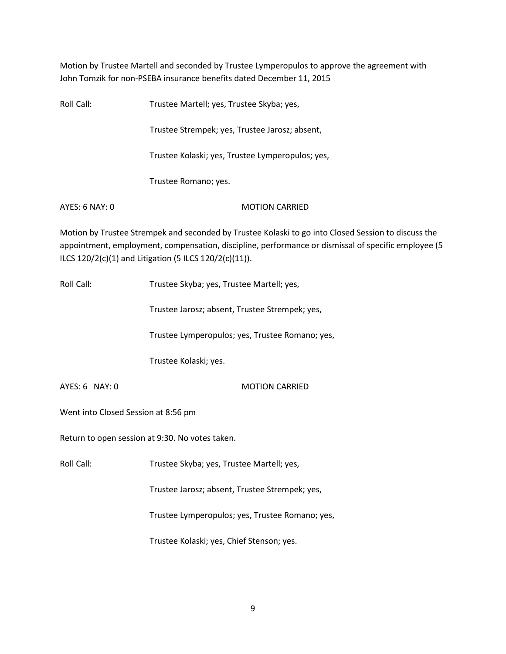Motion by Trustee Martell and seconded by Trustee Lymperopulos to approve the agreement with John Tomzik for non-PSEBA insurance benefits dated December 11, 2015

| Roll Call:     | Trustee Martell; yes, Trustee Skyba; yes,        |
|----------------|--------------------------------------------------|
|                | Trustee Strempek; yes, Trustee Jarosz; absent,   |
|                | Trustee Kolaski; yes, Trustee Lymperopulos; yes, |
|                | Trustee Romano; yes.                             |
| AYES: 6 NAY: 0 | <b>MOTION CARRIED</b>                            |

Motion by Trustee Strempek and seconded by Trustee Kolaski to go into Closed Session to discuss the appointment, employment, compensation, discipline, performance or dismissal of specific employee (5 ILCS 120/2(c)(1) and Litigation (5 ILCS 120/2(c)(11)).

Roll Call: Trustee Skyba; yes, Trustee Martell; yes,

Trustee Jarosz; absent, Trustee Strempek; yes,

Trustee Lymperopulos; yes, Trustee Romano; yes,

Trustee Kolaski; yes.

AYES: 6 NAY: 0 MOTION CARRIED

Went into Closed Session at 8:56 pm

Return to open session at 9:30. No votes taken.

Roll Call: Trustee Skyba; yes, Trustee Martell; yes,

Trustee Jarosz; absent, Trustee Strempek; yes,

Trustee Lymperopulos; yes, Trustee Romano; yes,

Trustee Kolaski; yes, Chief Stenson; yes.